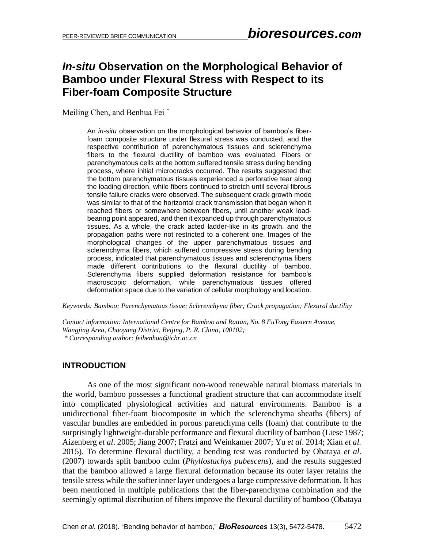# *In-situ* **Observation on the Morphological Behavior of Bamboo under Flexural Stress with Respect to its Fiber-foam Composite Structure**

Meiling Chen, and Benhua Fei \*

An *in-situ* observation on the morphological behavior of bamboo's fiberfoam composite structure under flexural stress was conducted, and the respective contribution of parenchymatous tissues and sclerenchyma fibers to the flexural ductility of bamboo was evaluated. Fibers or parenchymatous cells at the bottom suffered tensile stress during bending process, where initial microcracks occurred. The results suggested that the bottom parenchymatous tissues experienced a perforative tear along the loading direction, while fibers continued to stretch until several fibrous tensile failure cracks were observed. The subsequent crack growth mode was similar to that of the horizontal crack transmission that began when it reached fibers or somewhere between fibers, until another weak loadbearing point appeared, and then it expanded up through parenchymatous tissues. As a whole, the crack acted ladder-like in its growth, and the propagation paths were not restricted to a coherent one. Images of the morphological changes of the upper parenchymatous tissues and sclerenchyma fibers, which suffered compressive stress during bending process, indicated that parenchymatous tissues and sclerenchyma fibers made different contributions to the flexural ductility of bamboo. Sclerenchyma fibers supplied deformation resistance for bamboo's macroscopic deformation, while parenchymatous tissues offered deformation space due to the variation of cellular morphology and location.

*Keywords: Bamboo; Parenchymatous tissue; Sclerenchyma fiber; Crack propagation; Flexural ductility*

*Contact information: International Centre for Bamboo and Rattan, No. 8 FuTong Eastern Avenue, Wangjing Area, Chaoyang District, Beijing, P. R. China, 100102; \* Corresponding author: feibenhua@icbr.ac.cn*

## **INTRODUCTION**

As one of the most significant non-wood renewable natural biomass materials in the world, bamboo possesses a functional gradient structure that can accommodate itself into complicated physiological activities and natural environments. Bamboo is a unidirectional fiber-foam biocomposite in which the sclerenchyma sheaths (fibers) of vascular bundles are embedded in porous parenchyma cells (foam) that contribute to the surprisingly lightweight-durable performance and flexural ductility of bamboo (Liese 1987; Aizenberg *et al*. 2005; Jiang 2007; Fratzi and Weinkamer 2007; Yu *et al*. 2014; Xian *et al.* 2015). To determine flexural ductility, a bending test was conducted by Obataya *et al.* (2007) towards split bamboo culm (*Phyllostachys pubescens*), and the results suggested that the bamboo allowed a large flexural deformation because its outer layer retains the tensile stress while the softer inner layer undergoes a large compressive deformation. It has been mentioned in multiple publications that the fiber-parenchyma combination and the seemingly optimal distribution of fibers improve the flexural ductility of bamboo (Obataya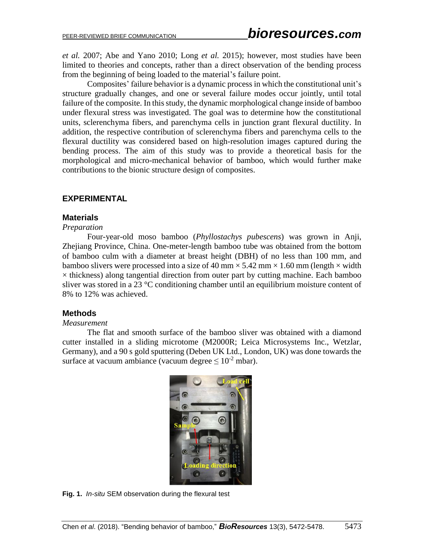*et al.* 2007; Abe and Yano 2010; Long *et al.* 2015); however, most studies have been limited to theories and concepts, rather than a direct observation of the bending process from the beginning of being loaded to the material's failure point.

Composites' failure behavior is a dynamic process in which the constitutional unit's structure gradually changes, and one or several failure modes occur jointly, until total failure of the composite. In this study, the dynamic morphological change inside of bamboo under flexural stress was investigated. The goal was to determine how the constitutional units, sclerenchyma fibers, and parenchyma cells in junction grant flexural ductility. In addition, the respective contribution of sclerenchyma fibers and parenchyma cells to the flexural ductility was considered based on high-resolution images captured during the bending process. The aim of this study was to provide a theoretical basis for the morphological and micro-mechanical behavior of bamboo, which would further make contributions to the bionic structure design of composites.

## **EXPERIMENTAL**

### **Materials**

*Preparation*

Four-year-old moso bamboo (*Phyllostachys pubescens*) was grown in Anji, Zhejiang Province, China. One-meter-length bamboo tube was obtained from the bottom of bamboo culm with a diameter at breast height (DBH) of no less than 100 mm, and bamboo slivers were processed into a size of 40 mm  $\times$  5.42 mm  $\times$  1.60 mm (length  $\times$  width  $\times$  thickness) along tangential direction from outer part by cutting machine. Each bamboo sliver was stored in a 23 °C conditioning chamber until an equilibrium moisture content of 8% to 12% was achieved.

#### **Methods**

#### *Measurement*

The flat and smooth surface of the bamboo sliver was obtained with a diamond cutter installed in a sliding microtome (M2000R; Leica Microsystems Inc., Wetzlar, Germany), and a 90 s gold sputtering (Deben UK Ltd., London, UK) was done towards the surface at vacuum ambiance (vacuum degree  $\leq 10^{-2}$  mbar).



**Fig. 1.** *In-situ* SEM observation during the flexural test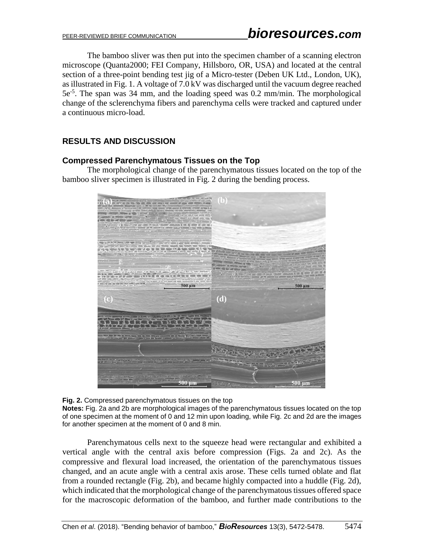The bamboo sliver was then put into the specimen chamber of a scanning electron microscope (Quanta2000; FEI Company, Hillsboro, OR, USA) and located at the central section of a three-point bending test jig of a Micro-tester (Deben UK Ltd., London, UK), as illustrated in Fig. 1. A voltage of 7.0 kV was discharged until the vacuum degree reached 5e-5 . The span was 34 mm, and the loading speed was 0.2 mm/min. The morphological change of the sclerenchyma fibers and parenchyma cells were tracked and captured under a continuous micro-load.

# **RESULTS AND DISCUSSION**

## **Compressed Parenchymatous Tissues on the Top**

The morphological change of the parenchymatous tissues located on the top of the bamboo sliver specimen is illustrated in Fig. 2 during the bending process.



**Fig. 2.** Compressed parenchymatous tissues on the top **Notes:** Fig. 2a and 2b are morphological images of the parenchymatous tissues located on the top of one specimen at the moment of 0 and 12 min upon loading, while Fig. 2c and 2d are the images for another specimen at the moment of 0 and 8 min.

Parenchymatous cells next to the squeeze head were rectangular and exhibited a vertical angle with the central axis before compression (Figs. 2a and 2c). As the compressive and flexural load increased, the orientation of the parenchymatous tissues changed, and an acute angle with a central axis arose. These cells turned oblate and flat from a rounded rectangle (Fig. 2b), and became highly compacted into a huddle (Fig. 2d), which indicated that the morphological change of the parenchymatous tissues offered space for the macroscopic deformation of the bamboo, and further made contributions to the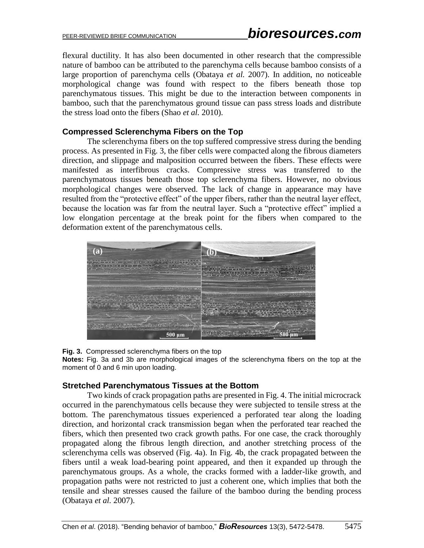flexural ductility. It has also been documented in other research that the compressible nature of bamboo can be attributed to the parenchyma cells because bamboo consists of a large proportion of parenchyma cells (Obataya *et al.* 2007). In addition, no noticeable morphological change was found with respect to the fibers beneath those top parenchymatous tissues. This might be due to the interaction between components in bamboo, such that the parenchymatous ground tissue can pass stress loads and distribute the stress load onto the fibers (Shao *et al.* 2010).

## **Compressed Sclerenchyma Fibers on the Top**

The sclerenchyma fibers on the top suffered compressive stress during the bending process. As presented in Fig. 3, the fiber cells were compacted along the fibrous diameters direction, and slippage and malposition occurred between the fibers. These effects were manifested as interfibrous cracks. Compressive stress was transferred to the parenchymatous tissues beneath those top sclerenchyma fibers. However, no obvious morphological changes were observed. The lack of change in appearance may have resulted from the "protective effect" of the upper fibers, rather than the neutral layer effect, because the location was far from the neutral layer. Such a "protective effect" implied a low elongation percentage at the break point for the fibers when compared to the deformation extent of the parenchymatous cells.



**Fig. 3.** Compressed sclerenchyma fibers on the top

**Notes:** Fig. 3a and 3b are morphological images of the sclerenchyma fibers on the top at the moment of 0 and 6 min upon loading.

#### **Stretched Parenchymatous Tissues at the Bottom**

Two kinds of crack propagation paths are presented in Fig. 4. The initial microcrack occurred in the parenchymatous cells because they were subjected to tensile stress at the bottom. The parenchymatous tissues experienced a perforated tear along the loading direction, and horizontal crack transmission began when the perforated tear reached the fibers, which then presented two crack growth paths. For one case, the crack thoroughly propagated along the fibrous length direction, and another stretching process of the sclerenchyma cells was observed (Fig. 4a). In Fig. 4b, the crack propagated between the fibers until a weak load-bearing point appeared, and then it expanded up through the parenchymatous groups. As a whole, the cracks formed with a ladder-like growth, and propagation paths were not restricted to just a coherent one, which implies that both the tensile and shear stresses caused the failure of the bamboo during the bending process (Obataya *et al.* 2007).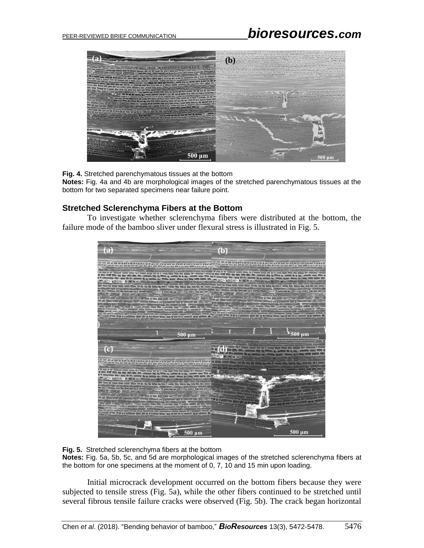

**Fig. 4.** Stretched parenchymatous tissues at the bottom

**Notes:** Fig. 4a and 4b are morphological images of the stretched parenchymatous tissues at the bottom for two separated specimens near failure point.

### **Stretched Sclerenchyma Fibers at the Bottom**

To investigate whether sclerenchyma fibers were distributed at the bottom, the failure mode of the bamboo sliver under flexural stress is illustrated in Fig. 5.



**Fig. 5.** Stretched sclerenchyma fibers at the bottom

**Notes:** Fig. 5a, 5b, 5c, and 5d are morphological images of the stretched sclerenchyma fibers at the bottom for one specimens at the moment of 0, 7, 10 and 15 min upon loading.

Initial microcrack development occurred on the bottom fibers because they were subjected to tensile stress (Fig. 5a), while the other fibers continued to be stretched until several fibrous tensile failure cracks were observed (Fig. 5b). The crack began horizontal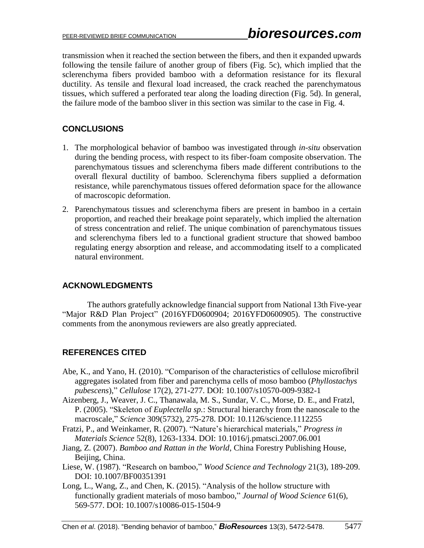transmission when it reached the section between the fibers, and then it expanded upwards following the tensile failure of another group of fibers (Fig. 5c), which implied that the sclerenchyma fibers provided bamboo with a deformation resistance for its flexural ductility. As tensile and flexural load increased, the crack reached the parenchymatous tissues, which suffered a perforated tear along the loading direction (Fig. 5d). In general, the failure mode of the bamboo sliver in this section was similar to the case in Fig. 4.

## **CONCLUSIONS**

- 1. The morphological behavior of bamboo was investigated through *in-situ* observation during the bending process, with respect to its fiber-foam composite observation. The parenchymatous tissues and sclerenchyma fibers made different contributions to the overall flexural ductility of bamboo. Sclerenchyma fibers supplied a deformation resistance, while parenchymatous tissues offered deformation space for the allowance of macroscopic deformation.
- 2. Parenchymatous tissues and sclerenchyma fibers are present in bamboo in a certain proportion, and reached their breakage point separately, which implied the alternation of stress concentration and relief. The unique combination of parenchymatous tissues and sclerenchyma fibers led to a functional gradient structure that showed bamboo regulating energy absorption and release, and accommodating itself to a complicated natural environment.

## **ACKNOWLEDGMENTS**

The authors gratefully acknowledge financial support from National 13th Five-year "Major R&D Plan Project" (2016YFD0600904; 2016YFD0600905). The constructive comments from the anonymous reviewers are also greatly appreciated.

# **REFERENCES CITED**

- Abe, K., and Yano, H. (2010). "Comparison of the characteristics of cellulose microfibril aggregates isolated from fiber and parenchyma cells of moso bamboo (*Phyllostachys pubescens*)," *Cellulose* 17(2), 271-277. DOI: 10.1007/s10570-009-9382-1
- Aizenberg, J., Weaver, J. C., Thanawala, M. S., Sundar, V. C., Morse, D. E., and Fratzl, P. (2005). "Skeleton of *Euplectella sp.*: Structural hierarchy from the nanoscale to the macroscale," *Science* 309(5732), 275-278. DOI: 10.1126/science.1112255
- Fratzi, P., and Weinkamer, R. (2007). "Nature's hierarchical materials," *Progress in Materials Science* 52(8), 1263-1334. DOI: 10.1016/j.pmatsci.2007.06.001
- Jiang, Z. (2007). *Bamboo and Rattan in the World*, China Forestry Publishing House, Beijing, China.
- Liese, W. (1987). "Research on bamboo," *Wood Science and Technology* 21(3), 189-209. DOI: 10.1007/BF00351391
- Long, L., Wang, Z., and Chen, K. (2015). "Analysis of the hollow structure with functionally gradient materials of moso bamboo," *Journal of Wood Science* 61(6), 569-577. DOI: 10.1007/s10086-015-1504-9